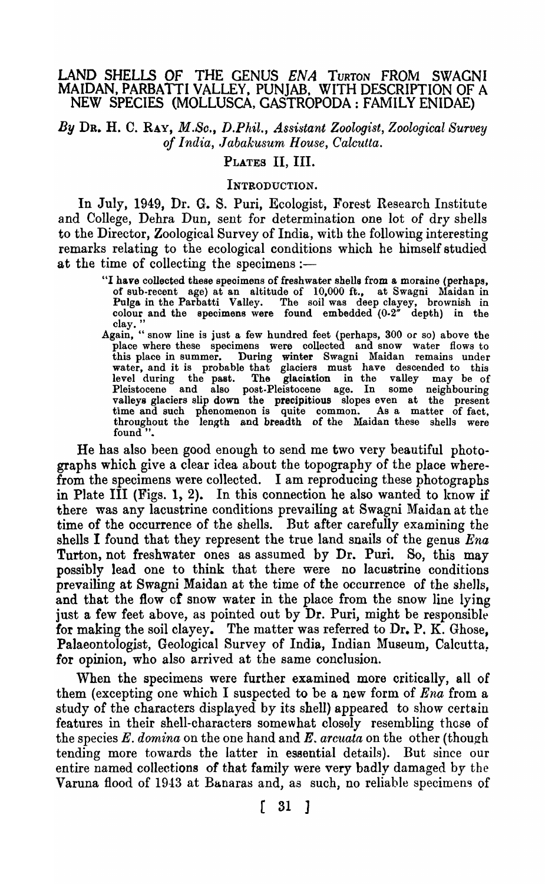## LAND SHELLS OF THE GENUS *ENA* TURTON FROM SWACNI MAIDAN, PARBATTI VALLEY, PUNJAB, WITH DESCRIPTION OF A NEW SPECIES (MOLLUSCA, GASTROPODA: FAMILY ENIDAE)

*By* DR. H. C. RAY, *M.So., V.Phil., Assistant Zoologist, Zoological Survey of India, ./abakusum House, Calcutta.* 

#### PLATES II, III.

#### INTRODUCTION.

In July, 1949, Dr. G. S. Puri, Ecologist, Forest Research Institute and College, Dehra Dun, sent for determination one lot of dry shells to the Director, Zoological Survey of India, with the following interesting remarks relating to the ecological conditions which he himself studied at the time of collecting the specimens :-

- "I have collected these speoimens of freshwater shells from a moraine (perhaps, of sub-recent age) at an altitude of 10,000 ft., at Swagni Maidan in Pulga in the Parbatti Valley. The soil was deep clayey, brownish in colour and the specimens were found embedded  $(0.2^{\pi})$  depth) in the clay.
- Again, " snow line is just a few hundred feet (perhaps, 300 or so) above the place where these specimens were collected and snow water flows to this place in summer. During winter Swagni Maidan remains under water, and it is probable that glaciers must have descended to this level during the past. The glaciation in the valley may be of Pleistocene and also post.Pleistocene age. In some neighbouring valleys glaciers slip down the precipitious slopes even at the present time and such phenomenon is quite common. As a matter of fact, throughout the length and breadth of the Maidan these shells were found ".

He has also been good enough to send me two very beautiful photographs which give a clear idea about the topography of the place wherefrom the specimens were collected. I am reproducing these photographs in Plate III (Figs. 1, 2). In this connection he also wanted to know if there was any lacustrine conditions prevailing at Swagni Maidan at the time of the occurrence of the shells. But after carefully examining the shells I found that they represent the true land snails of the genus *Ena*  Turton, not freshwater ones as assumed by Dr. Puri. So, this may possibly lead one to think that there were no lacustrine conditions prevailing at Swagni Maidan at the time of the occurrence of the shells, and that the flow of snow water in the place from the snow line lying just a few feet above, as pointed out by Dr. Puri, might be responsible for making the soil clayey. The matter was referred to Dr. P. K. Ghose, Palaeontologist, Geological Survey of India, Indian Museum, Calcutta. for opinion, who also arrived at the same conclusion.

When the specimens were further examined more critically, all of them (excepting one which I suspected to be a new form of *Ena* from a study of the characters displayed by its shell) appeared to show certain features in their shell-characters somewhat closely resembling those of the species *E. domina* on the one hand and *E. arcuata* on the other (though tending more towards the latter in essential details). But since our entire named collections of that family were very badly damaged by the Varuna flood of 1943 at Banaras and, as such, no reliable specimens of

( 31 ]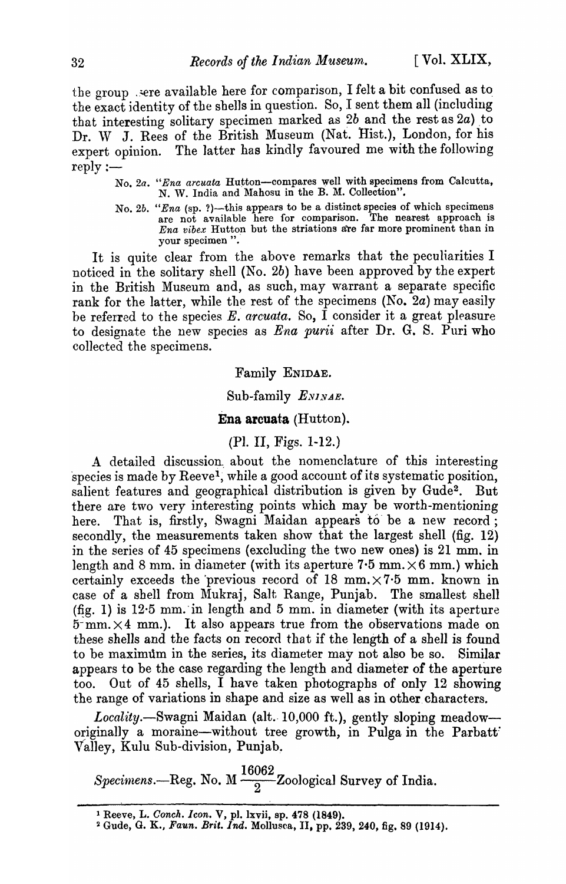the group . sere available here for comparison, I felt a bit confused as to the exact identity of the shells in question. So, I sent them all (including that interesting solitary specimen marked as  $2b$  and the rest as  $2a$ ) to Dr. W J. Rees of the British Museum (Nat. Hist.), London, for his expert opinion. The latter has kindly favoured me with the following  $reply :=$ 

- No. 2a. "Ena arcuata Hutton-compares well with specimens from Calcutta, N. W. India and Mahosu in the B. M. Collection".
- No. 2b. *"Ena* (sp. ?)—this appears to be a distinct species of which specimens are not available here for comparison. The nearest approach is *Ena vibex* Hutton but the striations are far more prominent than in your specimen ".

It is quite clear from the above remarks that the peculiarities I noticed in the solitary shell (No. 2b) have been approved by the expert in the British Museum and, as such, may warrant a separate specific rank for the latter, while the rest of the specimens (No. 2a) may easily be referred to the species E. *arcuata.* So, I consider it a great pleasure to designate the new species as *Ena purii* after Dr. G. S. Puri who collected the specimens.

## Family ENIDAE.

#### Sub-family *ENINAE*.

#### **Ena arcuata** (Hutton).

### (Pl. II, Figs. 1-12.)

A detailed discussion. about the nomenclature of this interesting species is made by Reeve<sup>1</sup>, while a good account of its systematic position, salient features and geographical distribution is given by Gude<sup>2</sup>. But there are two very interesting points which may be worth-mentioning here. That is, firstly, Swagni Maidan appears to be a new record; secondly, the measurements taken show that the largest shell (fig.  $12$ ) in the series of 45 specimens (excluding the two new ones) is 21 mm. in length and 8 mm. in diameter (with its aperture 7.5 mm. $\times$ 6 mm.) which certainly exceeds the previous record of 18 mm. $\times$ 7.5 mm. known in case of a shell from Mukraj, Salt Range, Punjab. The smallest shell (fig. 1) is  $12.5$  mm. in length and  $5$  mm. in diameter (with its aperture  $5 mm. \times 4 mm.$ ). It also appears true from the observations made on these shells and the facts on record that if the length of a shell is found to be maximum in the series, its diameter may not also be so. Similar appears to be the case regarding the length and diameter of the aperture too. Out of 45 shells, I have taken photograpbs of only 12 showing the range of variations in shape and size as well as in other characters.

*Locality.*—Swagni Maidan (alt. 10,000 ft.), gently sloping meadow originally a moraine-without tree growth, in Pulga in the Parbatt Valley, Kulu Sub-division, Punjab~

Specimens.—Reg. No.  $M\frac{16062}{2}$ Zoological Survey of India.

<sup>1</sup>Reeve, L. *Oonch. leon.* V, pI. lxvii, ap. 478 (1849).

<sup>&</sup>lt;sup>2</sup> Gude, G. K., *Faun. Brit. Ind.* Mollusca, II, pp. 239, 240, fig. 89 (1914).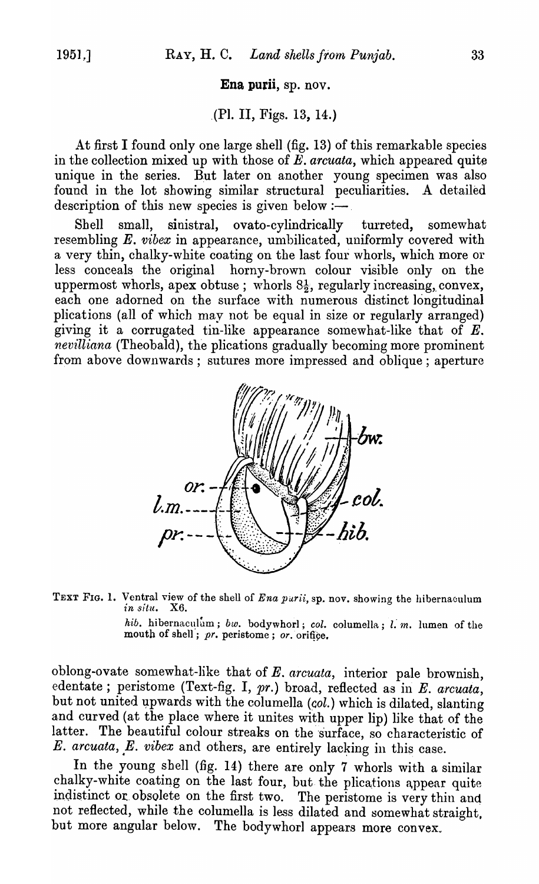### Ena purii, sp. nov.

# . (PI. II, Figs. 13, 14.)

At first I found only one large shell (fig.  $13$ ) of this remarkable species in the collection mixed up with those of *E. arcuata*, which appeared quite unique in the series. But later on another young specimen was also found in the lot showing similar structural peculiarities. A detailed description of this new species is given below  $:$ -

Shell small, sinistral, ovato-cylindrically turreted, somewhat resembling *E. vibex* in appearance, umbilicated, uniformly covered with a very thin, chalky-white coating on the last four whorls, which more or less coneeals the original horny-brown colour visible only on the uppermost whorls, apex obtuse; whorls  $8\frac{1}{2}$ , regularly increasing, convex, each one adorned on the surface with numerous distinct longitudinal plications (all of which may not be equal in size or regularly arranged) giving it a corrugated tin-like appearance somewhat-like that of  $E$ . *nevilliana* (Theobald), the plications gradually becoming more prominent from above downwards; sutures more impressed and oblique; aperture





*hib.* hibernaculum; *bw.* bodywhorl; *col.* columella; *l. m.* lumen of the mouth of shell; pr. peristome; or. orifice.

oblong-ovate somewhat-like that of E. *arcuata*, interior pale brownish, edentate; peristome (Text-fig. I, pr.) broad, reflected as in E. *arcuata*, but not united upwards with the columella (col.) which is dilated, slanting and curved (at the place where it unites with upper lip) like that of the latter. The beautiful colour streaks on the surface, so characteristic of *E. arcuata, E. vibex and others, are entirely lacking in this case.* 

In the young shell (fig. 14) there are only 7 whorls with a similar chalky-white coating on the last four, but the plications appear quite indistinct or obsolete on the first two. The peristome is very thin and not reflected, while the columella is less dilated and somewhat straight. but more angular below. The bodywhorl appears more convex.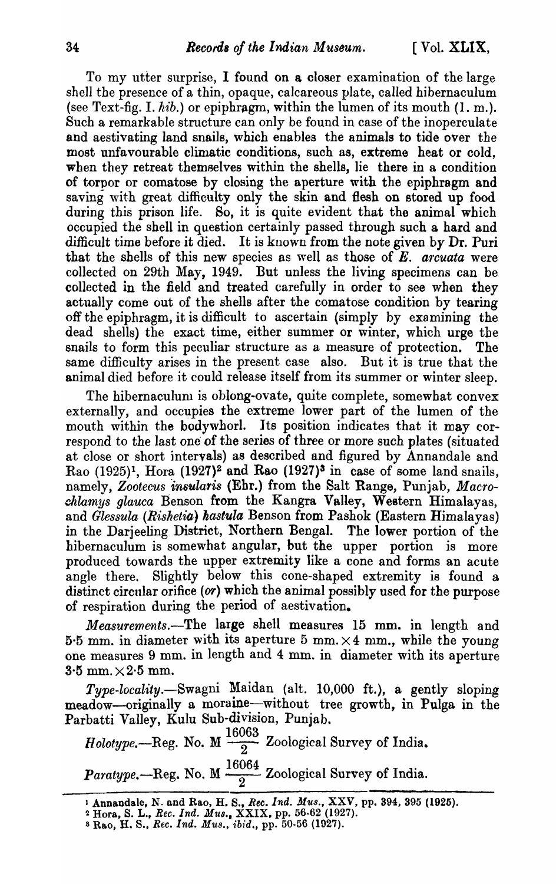To my utter surprise, I found on a closer examination of the large shell the presence of a thin, opaque, calcareous plate, called hibernaculum (see Text-fig. I.  $hib.$ ) or epiphragm, within the lumen of its mouth (1. m.). Such a remarkable structure can only be found in case of the inoperculate and aestivating land snails, which enables the animals to tide over the most unfavourable climatic conditions, such as, extreme heat or cold, when they retreat themselves within the shells, lie there in a condition of torpor or comatose by closing the aperture with the epiphragm and saving with great difficulty only the skin and flesh on stored up food during this prison life. So, it is quite evident that the animal which occupied the shell in question certainly passed through such a hard and difficult time before it died. It is known from the note given by Dr. Puri that the shells of this new species as well as those of E. *arcuata* were collected on 29th May, 1949. But unless the living specimens can be collected in the field and treated carefully in order to see when they actually come out of the shells after the comatose condition by tearing off the epiphragm, it is difficult to ascertain (simply by examining the dead shells) the exact time, either summer or winter, which urge the snails to form this peculiar structure as a measure of protection. The same difficulty arises in the present case also. But it is true that the animal died before it could release itself from its summer or winter sleep.

The hibernaculum is oblong-ovate, quite complete, somewhat convex externally, and occupies the extreme lower part of the lumen of the mouth within the bodywhorl. Its position indicates that it may correspond to the last one of the series of three or more such plates (situated at close or short intervals) as described and figured by Annandale and Rao  $(1925)^1$ , Hora  $(1927)^2$  and Rao  $(1927)^3$  in case of some land snails, namely. Zootecus insularis (Ebr.) from the Salt Range, Punjab, *Macro*chlamys glauca Benson from the Kangra Valley, Western Himalayas, and *Glessula (Rishetia) kastuia* Benson from Pashok (Eastern Himalayas) in the Darjeeling District, Northern Bengal. The lower portion of the hibernaculum is somewhat angular, but the upper portion is more produced towards the upper extremity like a cone and forms an acute angle there. Slightly below this cone-shaped extremity is found a distinct circular orifice (or) which the animal possibly used for the purpose of respiration during the period of aestivation.

*Measurements.*-The large shell measures 15 mm. in length and 5.5 mm. in diameter with its aperture 5 mm.  $\times$  4 mm., while the young one measures 9 mm. in length and 4 mm. in diameter with its aperture  $3.5$  mm.  $\times 2.5$  mm.

*Type-locality.-Swagni* Maidan (alt. 10,000 ft.), a gently sloping meadow-originally a moraine-without tree growth, in Pulga in the Parbatti Valley, Kulu Sub-division, Punjab.

 $Holype.$  Reg. No. M  $\frac{16063}{2}$  Zoological Survey of India. *Paratype.*--Reg. No. M  $\frac{16064}{2}$  Zoological Survey of India.

<sup>1</sup> Annandale, N. and Rao, H. S., *Rec. Ind. Mus.*, XXV, pp. 394, 395 (1925).

<sup>2</sup> Hora, S. L., *Bee. Ind. MU8.,* XXIX, pp. 56-62 (1927).

S Rao, H. S., *Bee. Ind. MU8., ibid.,* pp. 50-56 (1927).